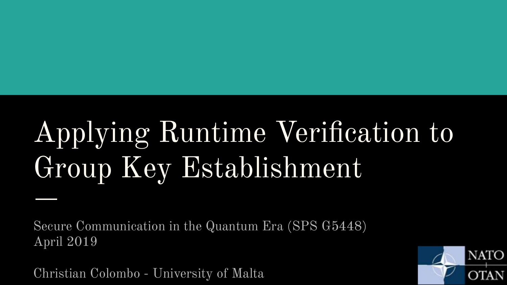## Applying Runtime Verification to Group Key Establishment

Secure Communication in the Quantum Era (SPS G5448) April 2019

Christian Colombo - University of Malta

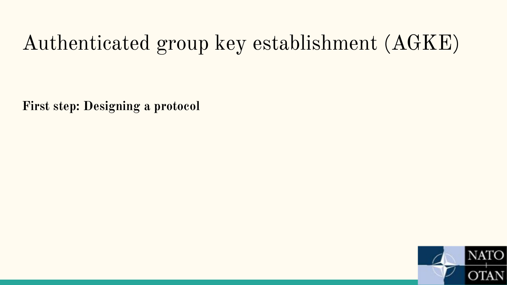### Authenticated group key establishment (AGKE)

**First step: Designing a protocol** 

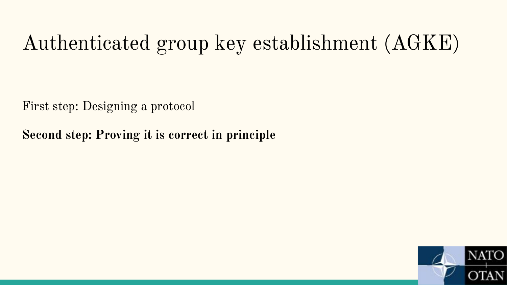### Authenticated group key establishment (AGKE)

First step: Designing a protocol

**Second step: Proving it is correct in principle**

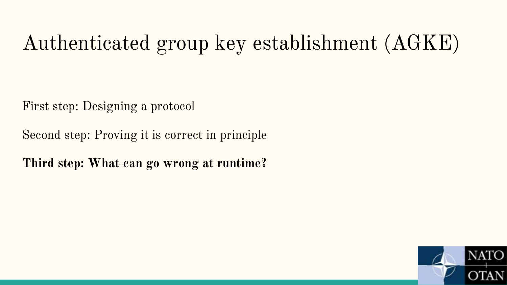### Authenticated group key establishment (AGKE)

First step: Designing a protocol

Second step: Proving it is correct in principle

**Third step: What can go wrong at runtime?**

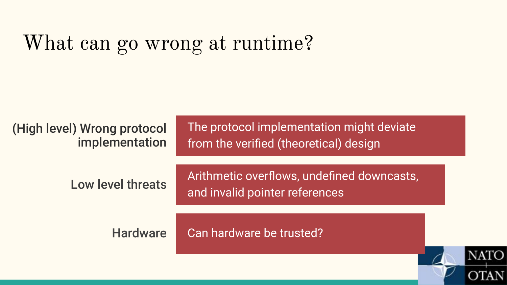### What can go wrong at runtime?

(High level) Wrong protocol implementation The protocol implementation might deviate from the verified (theoretical) design

Low level threats Arithmetic overflows, undefined downcasts, and invalid pointer references

Hardware Can hardware be trusted?

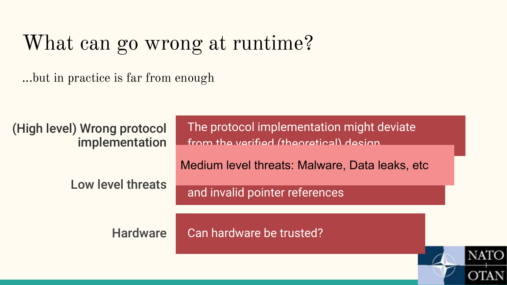### What can go wrong at runtime?

...but in practice is far from enough

The protocol implementation might deviate (High level) Wrong protocol implementation from the verified (theoretical) design Medium level threats: Malware, Data leaks, etc**Low level threats** and invalid pointer references Hardware Can hardware be trusted? NATC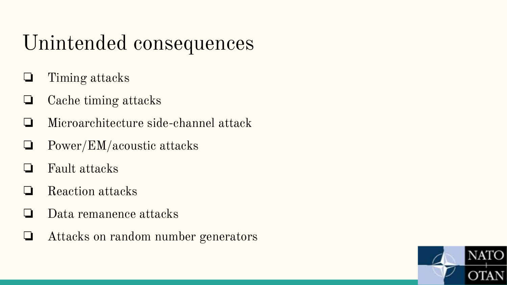### Unintended consequences

- ❏ Timing attacks
- ❏ Cache timing attacks
- ❏ Microarchitecture side-channel attack
- ❏ Power/EM/acoustic attacks
- ❏ Fault attacks
- ❏ Reaction attacks
- ❏ Data remanence attacks
- ❏ Attacks on random number generators

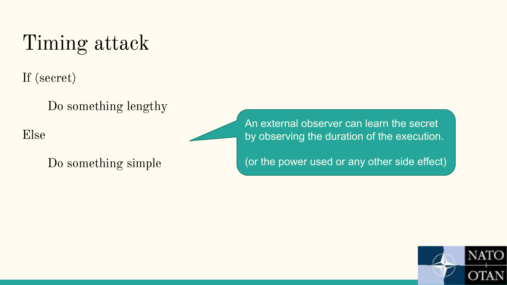### Timing attack

If (secret)

Do something lengthy

Else

Do something simple

An external observer can learn the secret by observing the duration of the execution.

(or the power used or any other side effect)

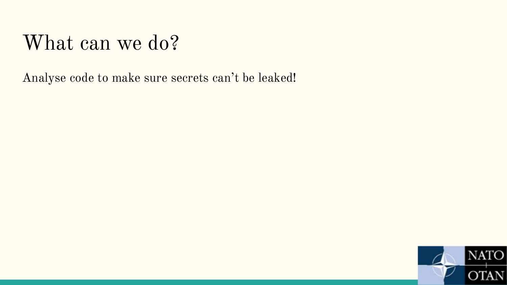### What can we do?

Analyse code to make sure secrets can't be leaked!

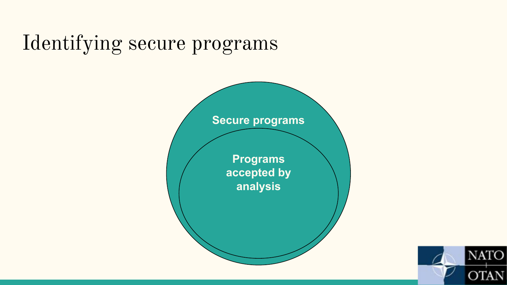### Identifying secure programs



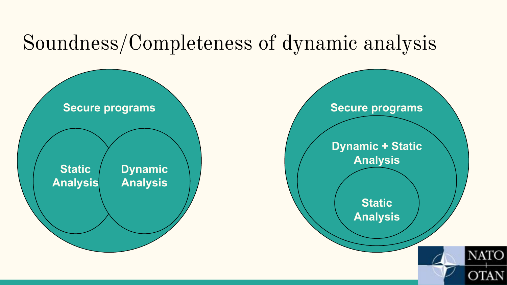### Soundness/Completeness of dynamic analysis



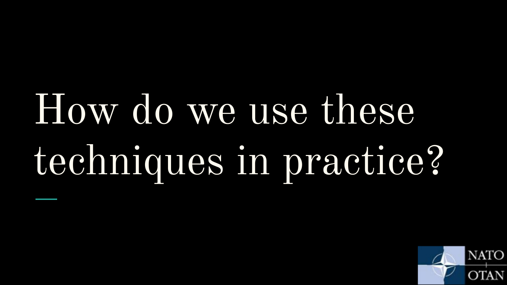# How do we use these techniques in practice?

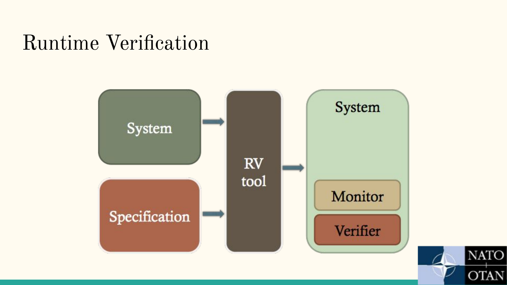### Runtime Verification



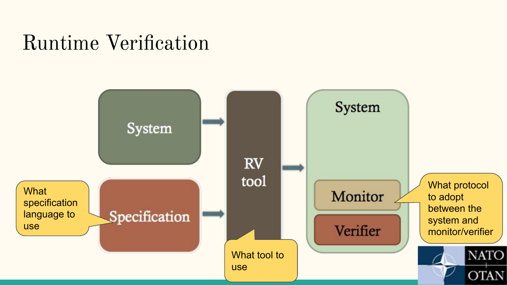### Runtime Verification

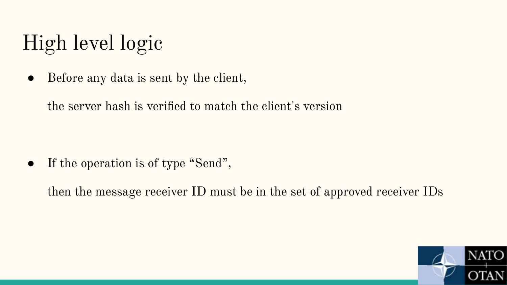### High level logic

• Before any data is sent by the client,

the server hash is verified to match the client's version

• If the operation is of type "Send",

then the message receiver ID must be in the set of approved receiver IDs

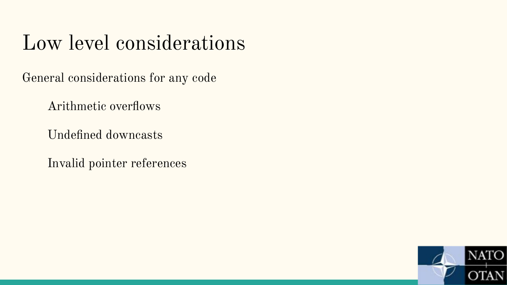### Low level considerations

General considerations for any code

Arithmetic overflows

Undefined downcasts

Invalid pointer references

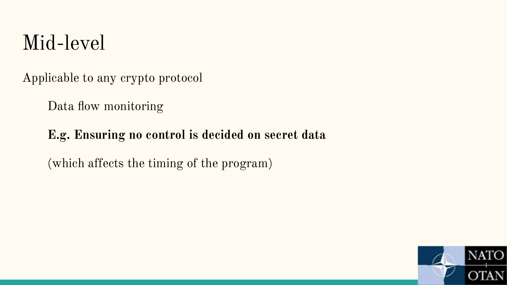### Mid-level

Applicable to any crypto protocol

Data flow monitoring

#### **E.g. Ensuring no control is decided on secret data**

(which affects the timing of the program)

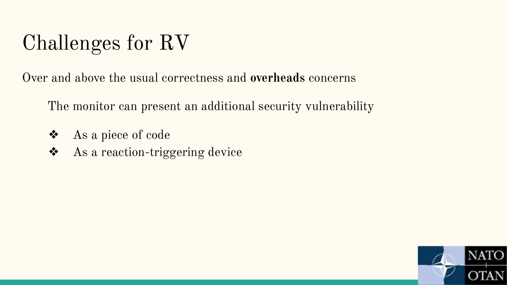### Challenges for RV

Over and above the usual correctness and **overheads** concerns

The monitor can present an additional security vulnerability

- ❖ As a piece of code
- ❖ As a reaction-triggering device

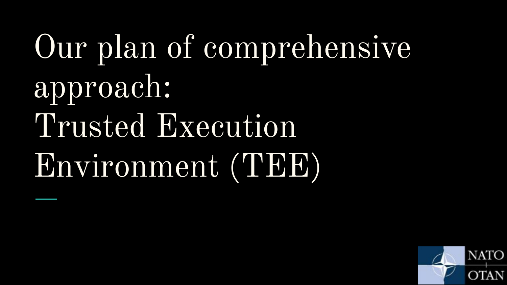# Our plan of comprehensive approach: Trusted Execution Environment (TEE)

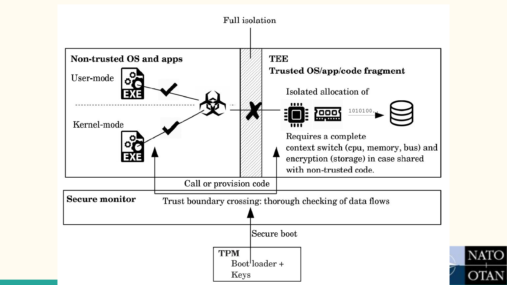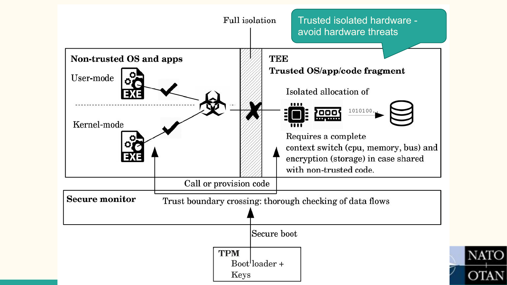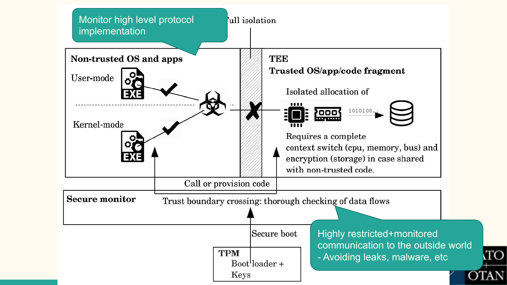